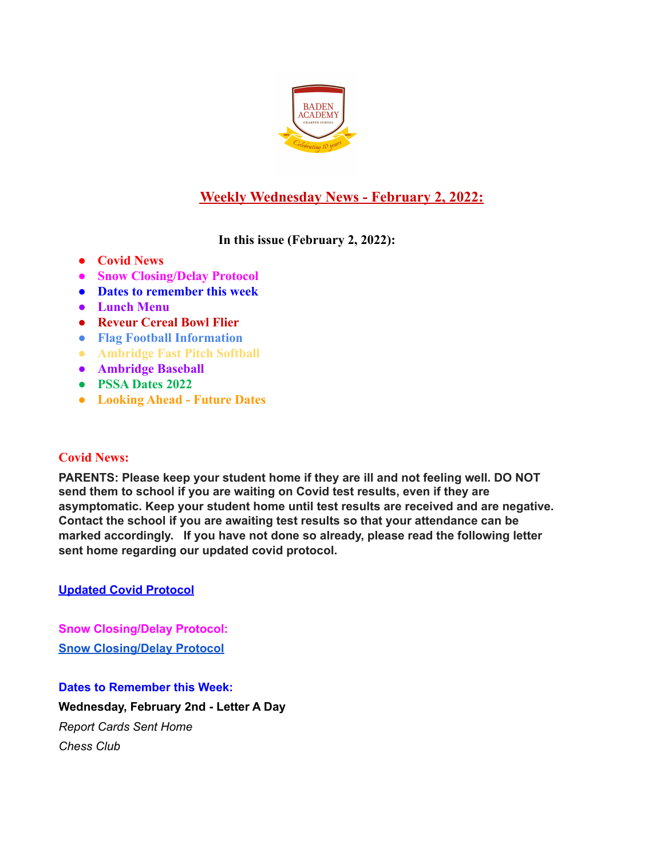

# **Weekly Wednesday News - February 2, 2022:**

**In this issue (February 2, 2022):**

- **● Covid News**
- **● Snow Closing/Delay Protocol**
- **● Dates to remember this week**
- **● Lunch Menu**
- **● Reveur Cereal Bowl Flier**
- **● Flag Football Information**
- **● Ambridge Fast Pitch Softball**
- **● Ambridge Baseball**
- **● PSSA Dates 2022**
- **● Looking Ahead Future Dates**

# **Covid News:**

**PARENTS: Please keep your student home if they are ill and not feeling well. DO NOT send them to school if you are waiting on Covid test results, even if they are asymptomatic. Keep your student home until test results are received and are negative. Contact the school if you are awaiting test results so that your attendance can be marked accordingly. If you have not done so already, please read the following letter sent home regarding our updated covid protocol.**

**Updated Covid [Protocol](https://docs.google.com/document/d/1MZOfqQyHxK0uiJCWtP7Aq6GAK19-1s4aJ-rMMfStPco/edit?usp=sharing)**

**Snow Closing/Delay Protocol: Snow [Closing/Delay](https://docs.google.com/document/d/1TCXw_1OpX5C2j8ZTfeD61I61bbe-MxUwfsijlciAKfo/edit?usp=sharing) Protocol**

**Dates to Remember this Week: Wednesday, February 2nd - Letter A Day** *Report Cards Sent Home Chess Club*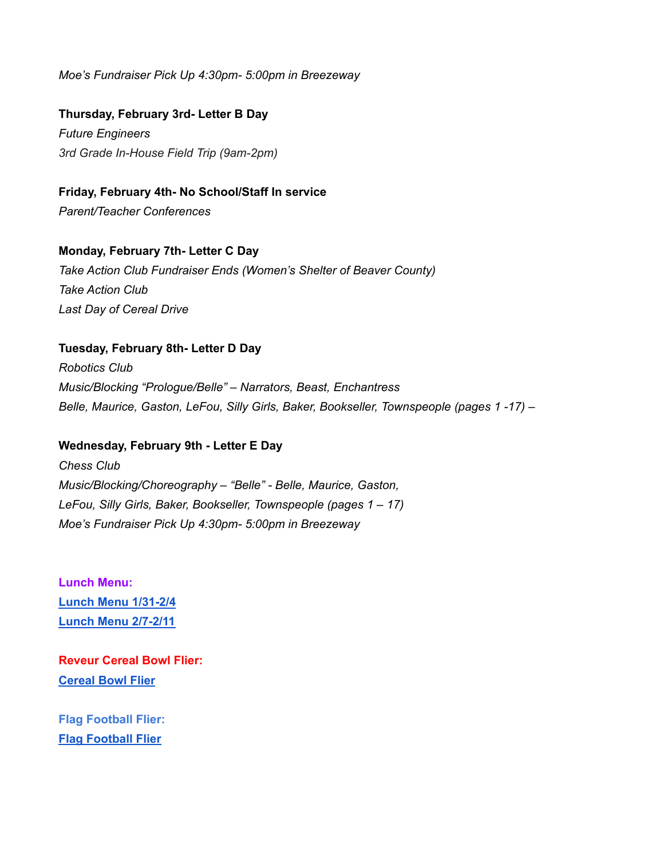*Moe's Fundraiser Pick Up 4:30pm- 5:00pm in Breezeway*

**Thursday, February 3rd- Letter B Day**

*Future Engineers 3rd Grade In-House Field Trip (9am-2pm)*

**Friday, February 4th- No School/Staff In service** *Parent/Teacher Conferences*

## **Monday, February 7th- Letter C Day**

*Take Action Club Fundraiser Ends (Women's Shelter of Beaver County) Take Action Club Last Day of Cereal Drive*

#### **Tuesday, February 8th- Letter D Day**

*Robotics Club Music/Blocking "Prologue/Belle" – Narrators, Beast, Enchantress Belle, Maurice, Gaston, LeFou, Silly Girls, Baker, Bookseller, Townspeople (pages 1 -17) –*

#### **Wednesday, February 9th - Letter E Day**

*Chess Club Music/Blocking/Choreography – "Belle" - Belle, Maurice, Gaston, LeFou, Silly Girls, Baker, Bookseller, Townspeople (pages 1 – 17) Moe's Fundraiser Pick Up 4:30pm- 5:00pm in Breezeway*

**Lunch Menu: Lunch Menu [1/31-2/4](https://docs.google.com/document/d/1o8qTok8VHrOGBce_ivt6uMG9sh9BEDZDPFQGmlCdeVk/edit?usp=sharing) Lunch Menu [2/7-2/11](https://docs.google.com/document/d/1b1mEl_Qg5gyQVrRyvlPXFQU2kL2sfKGs34xr4FdeRrE/edit?usp=sharing)**

**Reveur Cereal Bowl Flier: [Cereal](https://docs.google.com/document/d/1m_v2nOAjnovpUD-HaWvyCgitHQqRsT3uy84dKB1TzHM/edit?usp=sharing) Bowl Flier**

**Flag Football Flier: Flag [Football](https://docs.google.com/document/d/1D63yq1cvTZEs36T2PO9CScwdPsN7D4G2FBt0DmZ3k-w/edit?usp=sharing) Flier**